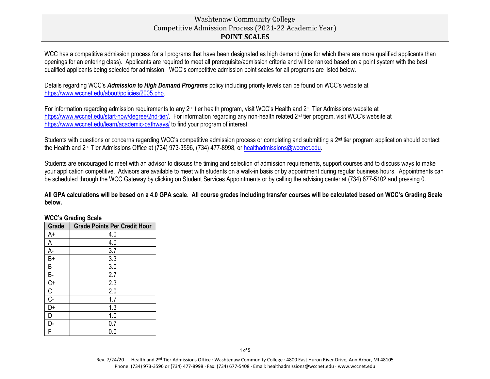# Washtenaw Community College Competitive Admission Process (2021-22 Academic Year) **POINT SCALES**

WCC has a competitive admission process for all programs that have been designated as high demand (one for which there are more qualified applicants than openings for an entering class). Applicants are required to meet all prerequisite/admission criteria and will be ranked based on a point system with the best qualified applicants being selected for admission. WCC's competitive admission point scales for all programs are listed below.

Details regarding WCC's *Admission to High Demand Programs* policy including priority levels can be found on WCC's website at [https://www.wccnet.edu/about/policies/2005.php.](https://www.wccnet.edu/about/policies/2005.php)

For information regarding admission requirements to any 2<sup>nd</sup> tier health program, visit WCC's Health and 2<sup>nd</sup> Tier Admissions website at [https://www.wccnet.edu/start-now/degree/2nd-tier/.](https://www.wccnet.edu/start-now/degree/2nd-tier/) For information regarding any non-health related 2<sup>nd</sup> tier program, visit WCC's website at <https://www.wccnet.edu/learn/academic-pathways/> to find your program of interest.

Students with questions or concerns regarding WCC's competitive admission process or completing and submitting a 2<sup>nd</sup> tier program application should contact the Health and 2<sup>nd</sup> Tier Admissions Office at (734) 973-3596, (734) 477-8998, or [healthadmissions@wccnet.edu.](mailto:healthadmissions@wccnet.edu)

Students are encouraged to meet with an advisor to discuss the timing and selection of admission requirements, support courses and to discuss ways to make your application competitive. Advisors are available to meet with students on a walk-in basis or by appointment during regular business hours. Appointments can be scheduled through the WCC Gateway by clicking on Student Services Appointments or by calling the advising center at (734) 677-5102 and pressing 0.

**All GPA calculations will be based on a 4.0 GPA scale. All course grades including transfer courses will be calculated based on WCC's Grading Scale below.**

#### **WCC's Grading Scale**

| Grade            | <b>Grade Points Per Credit Hour</b> |
|------------------|-------------------------------------|
| A+               | 4.0                                 |
| A                | 4.0                                 |
| A-               | 3.7                                 |
| B+               | 3.3                                 |
| B                | 3.0                                 |
| B-               | 2.7                                 |
| $C+$             | 2.3                                 |
| С                | 2.0                                 |
| $\overline{C}$ - | 1.7                                 |
| D+               | 1.3                                 |
| D                | 1.0                                 |
| Ŋ-               | 0.7                                 |
| F                | 0.0                                 |
|                  |                                     |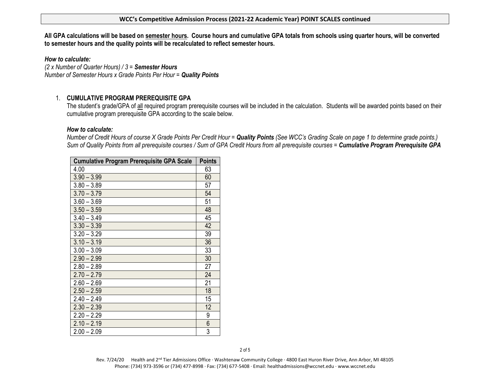#### **WCC's Competitive Admission Process (2021-22 Academic Year) POINT SCALES continued**

**All GPA calculations will be based on semester hours. Course hours and cumulative GPA totals from schools using quarter hours, will be converted to semester hours and the quality points will be recalculated to reflect semester hours.** 

*How to calculate:*

*(2 x Number of Quarter Hours) / 3 = Semester Hours Number of Semester Hours x Grade Points Per Hour = Quality Points*

# 1. **CUMULATIVE PROGRAM PREREQUISITE GPA**

The student's grade/GPA of all required program prerequisite courses will be included in the calculation. Students will be awarded points based on their cumulative program prerequisite GPA according to the scale below.

### *How to calculate:*

*Number of Credit Hours of course X Grade Points Per Credit Hour = Quality Points (See WCC's Grading Scale on page 1 to determine grade points.) Sum of Quality Points from all prerequisite courses / Sum of GPA Credit Hours from all prerequisite courses = Cumulative Program Prerequisite GPA*

| <b>Cumulative Program Prerequisite GPA Scale</b> | <b>Points</b> |
|--------------------------------------------------|---------------|
| 4.00                                             | 63            |
| $3.90 - 3.99$                                    | 60            |
| $3.80 - 3.89$                                    | 57            |
| $3.70 - 3.79$                                    | 54            |
| $3.60 - 3.69$                                    | 51            |
| $3.50 - 3.59$                                    | 48            |
| $3.40 - 3.49$                                    | 45            |
| $3.30 - 3.39$                                    | 42            |
| $3.20 - 3.29$                                    | 39            |
| $3.10 - 3.19$                                    | 36            |
| $3.00 - 3.09$                                    | 33            |
| $2.90 - 2.99$                                    | 30            |
| $2.80 - 2.89$                                    | 27            |
| $2.70 - 2.79$                                    | 24            |
| $2.60 - 2.69$                                    | 21            |
| $2.50 - 2.59$                                    | 18            |
| $2.40 - 2.49$                                    | 15            |
| $2.30 - 2.39$                                    | 12            |
| $2.20 - 2.29$                                    | 9             |
| $2.10 - 2.19$                                    | 6             |
| $2.00 - 2.09$                                    | 3             |

2 of 5

Rev. 7/24/20 Health and 2<sup>nd</sup> Tier Admissions Office · Washtenaw Community College · 4800 East Huron River Drive, Ann Arbor, MI 48105 Phone: (734) 973-3596 or (734) 477-8998 · Fax: (734) 677-5408 · Email: healthadmissions@wccnet.edu · www.wccnet.edu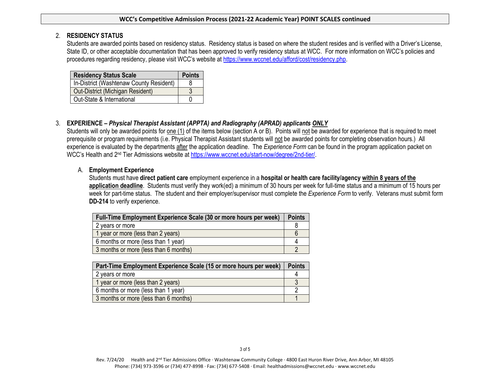#### **WCC's Competitive Admission Process (2021-22 Academic Year) POINT SCALES continued**

### 2. **RESIDENCY STATUS**

Students are awarded points based on residency status. Residency status is based on where the student resides and is verified with a Driver's License, State ID, or other acceptable documentation that has been approved to verify residency status at WCC. For more information on WCC's policies and procedures regarding residency, please visit WCC's website at [https://www.wccnet.edu/afford/cost/residency.php.](https://www.wccnet.edu/afford/cost/residency.php)

| <b>Residency Status Scale</b>           | <b>Points</b> |
|-----------------------------------------|---------------|
| In-District (Washtenaw County Resident) |               |
| Out-District (Michigan Resident)        |               |
| Out-State & International               |               |

# 3. **EXPERIENCE –** *Physical Therapist Assistant (APPTA) and Radiography (APRAD) applicants ONLY*

Students will only be awarded points for one (1) of the items below (section A or B). Points will not be awarded for experience that is required to meet prerequisite or program requirements (i.e. Physical Therapist Assistant students will not be awarded points for completing observation hours.) All experience is evaluated by the departments after the application deadline. The *Experience Form* can be found in the program application packet on WCC's Health and 2<sup>nd</sup> Tier Admissions website at [https://www.wccnet.edu/start-now/degree/2nd-tier/.](https://www.wccnet.edu/start-now/degree/2nd-tier/)

### A. **Employment Experience**

Students must have **direct patient care** employment experience in a **hospital or health care facility/agency within 8 years of the application deadline**. Students must verify they work(ed) a minimum of 30 hours per week for full-time status and a minimum of 15 hours per week for part-time status. The student and their employer/supervisor must complete the *Experience Form* to verify. Veterans must submit form **DD-214** to verify experience.

| Full-Time Employment Experience Scale (30 or more hours per week) |  |
|-------------------------------------------------------------------|--|
| 2 years or more                                                   |  |
| 1 year or more (less than 2 years)                                |  |
| 6 months or more (less than 1 year)                               |  |
| 3 months or more (less than 6 months)                             |  |

| Part-Time Employment Experience Scale (15 or more hours per week) |  |
|-------------------------------------------------------------------|--|
| 2 years or more                                                   |  |
| 1 year or more (less than 2 years)                                |  |
| 6 months or more (less than 1 year)                               |  |
| 3 months or more (less than 6 months)                             |  |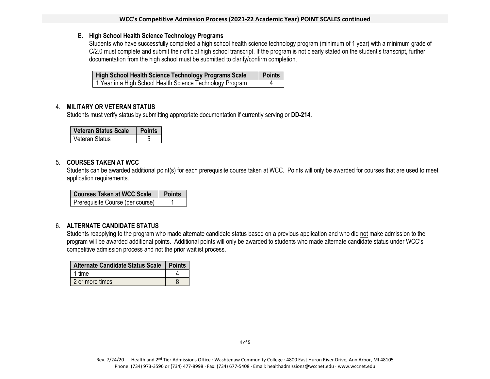#### **WCC's Competitive Admission Process (2021-22 Academic Year) POINT SCALES continued**

### B. **High School Health Science Technology Programs**

Students who have successfully completed a high school health science technology program (minimum of 1 year) with a minimum grade of C/2.0 must complete and submit their official high school transcript. If the program is not clearly stated on the student's transcript, further documentation from the high school must be submitted to clarify/confirm completion.

| High School Health Science Technology Programs Scale      | <b>Points</b> |
|-----------------------------------------------------------|---------------|
| 1 Year in a High School Health Science Technology Program |               |

## 4. **MILITARY OR VETERAN STATUS**

Students must verify status by submitting appropriate documentation if currently serving or **DD-214.** 

| <b>Veteran Status Scale</b> |  |
|-----------------------------|--|
| Veteran Status              |  |

### 5. **COURSES TAKEN AT WCC**

Students can be awarded additional point(s) for each prerequisite course taken at WCC. Points will only be awarded for courses that are used to meet application requirements.

| <b>Courses Taken at WCC Scale</b> | <b>Points</b> |
|-----------------------------------|---------------|
| Prerequisite Course (per course)  |               |

## 6. **ALTERNATE CANDIDATE STATUS**

Students reapplying to the program who made alternate candidate status based on a previous application and who did not make admission to the program will be awarded additional points. Additional points will only be awarded to students who made alternate candidate status under WCC's competitive admission process and not the prior waitlist process.

| Alternate Candidate Status Scale   Points |  |
|-------------------------------------------|--|
| 1 time                                    |  |
| 2 or more times                           |  |